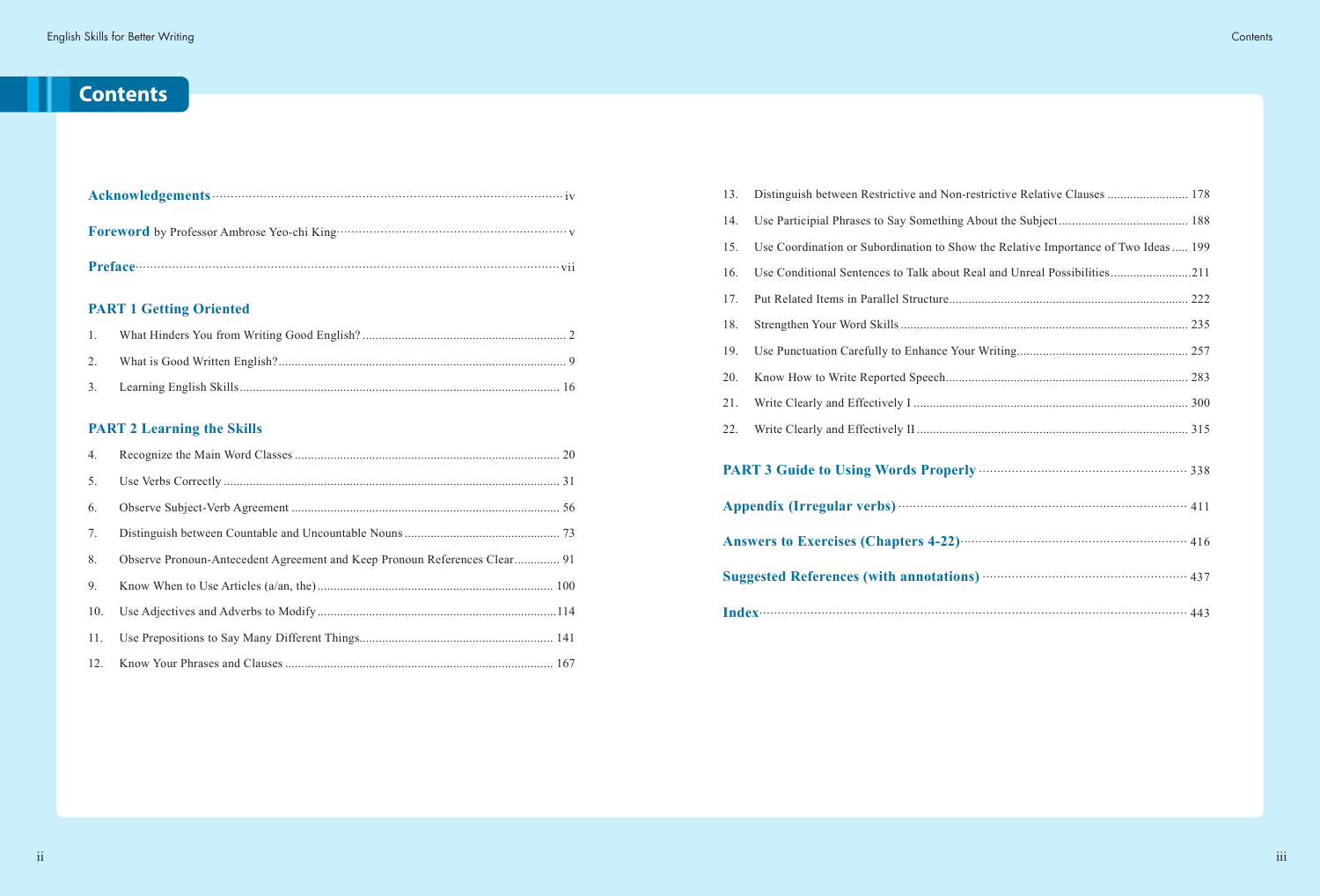# **Contents**

### **PART 1 Getting Oriented**

| $\sim$ 1 |  |
|----------|--|
|          |  |
|          |  |

## **PART 2 Learning the Skills**

| 4.  |                                                                           |  |
|-----|---------------------------------------------------------------------------|--|
| 5.  |                                                                           |  |
| 6.  |                                                                           |  |
| 7.  |                                                                           |  |
| 8.  | Observe Pronoun-Antecedent Agreement and Keep Pronoun References Clear 91 |  |
| 9.  |                                                                           |  |
| 10. |                                                                           |  |
| 11. |                                                                           |  |
|     |                                                                           |  |

| 13. | Distinguish between Restrictive and Non-restrictive Relative Clauses  178           |  |  |
|-----|-------------------------------------------------------------------------------------|--|--|
| 14. |                                                                                     |  |  |
| 15. | Use Coordination or Subordination to Show the Relative Importance of Two Ideas  199 |  |  |
| 16. | Use Conditional Sentences to Talk about Real and Unreal Possibilities211            |  |  |
| 17. |                                                                                     |  |  |
| 18. |                                                                                     |  |  |
| 19. |                                                                                     |  |  |
| 20. |                                                                                     |  |  |
| 21. |                                                                                     |  |  |
| 22. |                                                                                     |  |  |
|     |                                                                                     |  |  |
|     |                                                                                     |  |  |
|     | Answers to Exercises (Chapters 4-22) <b>Manual</b> 2020 Manual 216                  |  |  |
|     |                                                                                     |  |  |
|     |                                                                                     |  |  |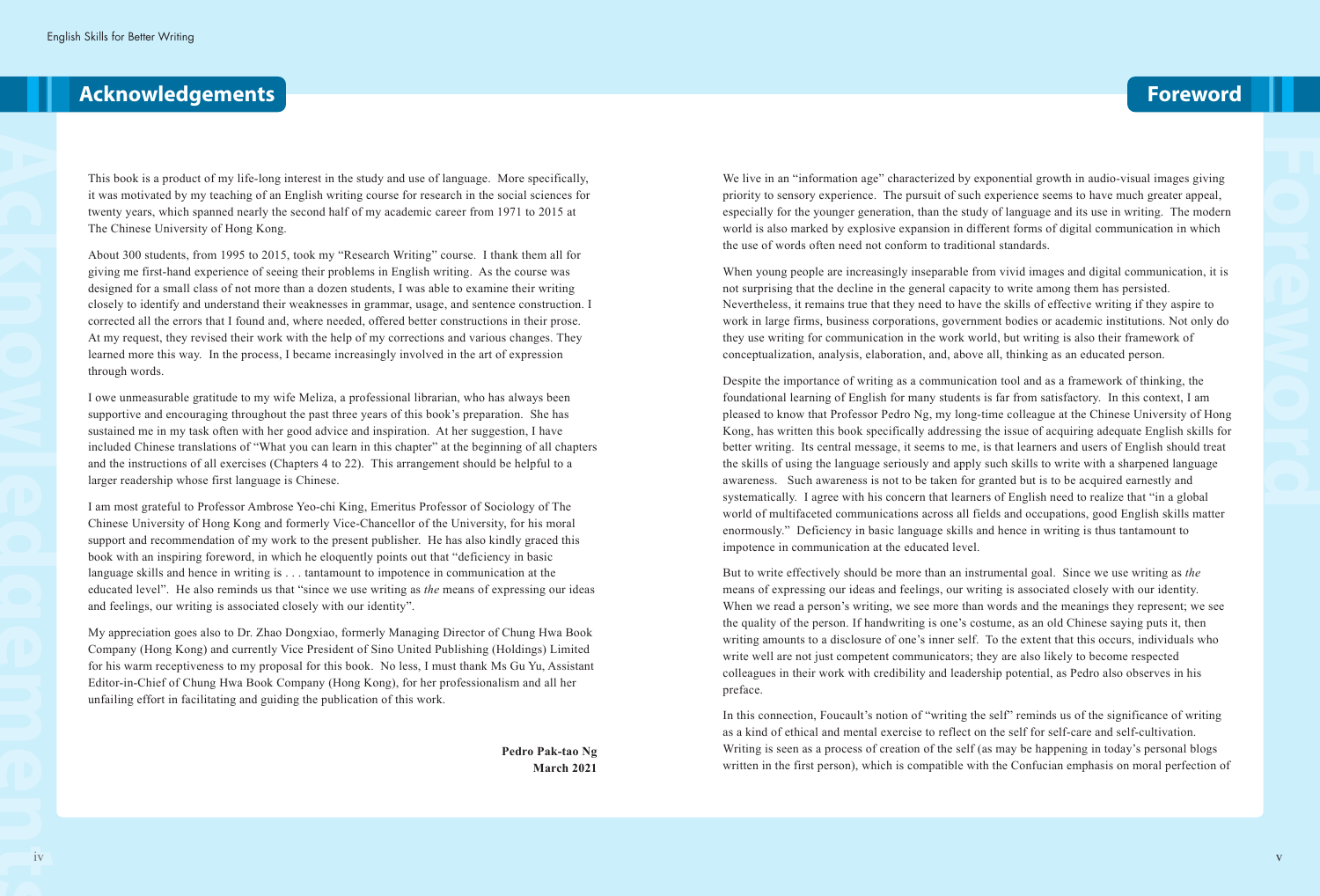This book is a product of my life-long interest in the study and use of language. More specifically, it was motivated by my teaching of an English writing course for research in the social sciences for twenty years, which spanned nearly the second half of my academic career from 1971 to 2015 at The Chinese University of Hong Kong.

About 300 students, from 1995 to 2015, took my "Research Writing" course. I thank them all for giving me first-hand experience of seeing their problems in English writing. As the course was designed for a small class of not more than a dozen students, I was able to examine their writing closely to identify and understand their weaknesses in grammar, usage, and sentence construction. I corrected all the errors that I found and, where needed, offered better constructions in their prose. At my request, they revised their work with the help of my corrections and various changes. They learned more this way. In the process, I became increasingly involved in the art of expression through words.

I owe unmeasurable gratitude to my wife Meliza, a professional librarian, who has always been supportive and encouraging throughout the past three years of this book's preparation. She has sustained me in my task often with her good advice and inspiration. At her suggestion, I have included Chinese translations of "What you can learn in this chapter" at the beginning of all chapters and the instructions of all exercises (Chapters 4 to 22). This arrangement should be helpful to a larger readership whose first language is Chinese.

We live in an "information age" characterized by exponential growth in audio-visual images giving priority to sensory experience. The pursuit of such experience seems to have much greater appeal, especially for the younger generation, than the study of language and its use in writing. The modern world is also marked by explosive expansion in different forms of digital communication in which the use of words often need not conform to traditional standards.

I am most grateful to Professor Ambrose Yeo-chi King, Emeritus Professor of Sociology of The Chinese University of Hong Kong and formerly Vice-Chancellor of the University, for his moral support and recommendation of my work to the present publisher. He has also kindly graced this book with an inspiring foreword, in which he eloquently points out that "deficiency in basic language skills and hence in writing is . . . tantamount to impotence in communication at the educated level". He also reminds us that "since we use writing as *the* means of expressing our ideas and feelings, our writing is associated closely with our identity".

My appreciation goes also to Dr. Zhao Dongxiao, formerly Managing Director of Chung Hwa Book Company (Hong Kong) and currently Vice President of Sino United Publishing (Holdings) Limited for his warm receptiveness to my proposal for this book. No less, I must thank Ms Gu Yu, Assistant Editor-in-Chief of Chung Hwa Book Company (Hong Kong), for her professionalism and all her unfailing effort in facilitating and guiding the publication of this work.

> **Pedro Pak-tao Ng March 2021**

## **Acknowledgements Foreword**

When young people are increasingly inseparable from vivid images and digital communication, it is not surprising that the decline in the general capacity to write among them has persisted. Nevertheless, it remains true that they need to have the skills of effective writing if they aspire to work in large firms, business corporations, government bodies or academic institutions. Not only do they use writing for communication in the work world, but writing is also their framework of conceptualization, analysis, elaboration, and, above all, thinking as an educated person.

Despite the importance of writing as a communication tool and as a framework of thinking, the foundational learning of English for many students is far from satisfactory. In this context, I am pleased to know that Professor Pedro Ng, my long-time colleague at the Chinese University of Hong Kong, has written this book specifically addressing the issue of acquiring adequate English skills for better writing. Its central message, it seems to me, is that learners and users of English should treat the skills of using the language seriously and apply such skills to write with a sharpened language awareness. Such awareness is not to be taken for granted but is to be acquired earnestly and systematically. I agree with his concern that learners of English need to realize that "in a global world of multifaceted communications across all fields and occupations, good English skills matter enormously." Deficiency in basic language skills and hence in writing is thus tantamount to impotence in communication at the educated level.

But to write effectively should be more than an instrumental goal. Since we use writing as *the*  means of expressing our ideas and feelings, our writing is associated closely with our identity. When we read a person's writing, we see more than words and the meanings they represent; we see the quality of the person. If handwriting is one's costume, as an old Chinese saying puts it, then writing amounts to a disclosure of one's inner self. To the extent that this occurs, individuals who write well are not just competent communicators; they are also likely to become respected colleagues in their work with credibility and leadership potential, as Pedro also observes in his preface.

In this connection, Foucault's notion of "writing the self" reminds us of the significance of writing as a kind of ethical and mental exercise to reflect on the self for self-care and self-cultivation. Writing is seen as a process of creation of the self (as may be happening in today's personal blogs written in the first person), which is compatible with the Confucian emphasis on moral perfection of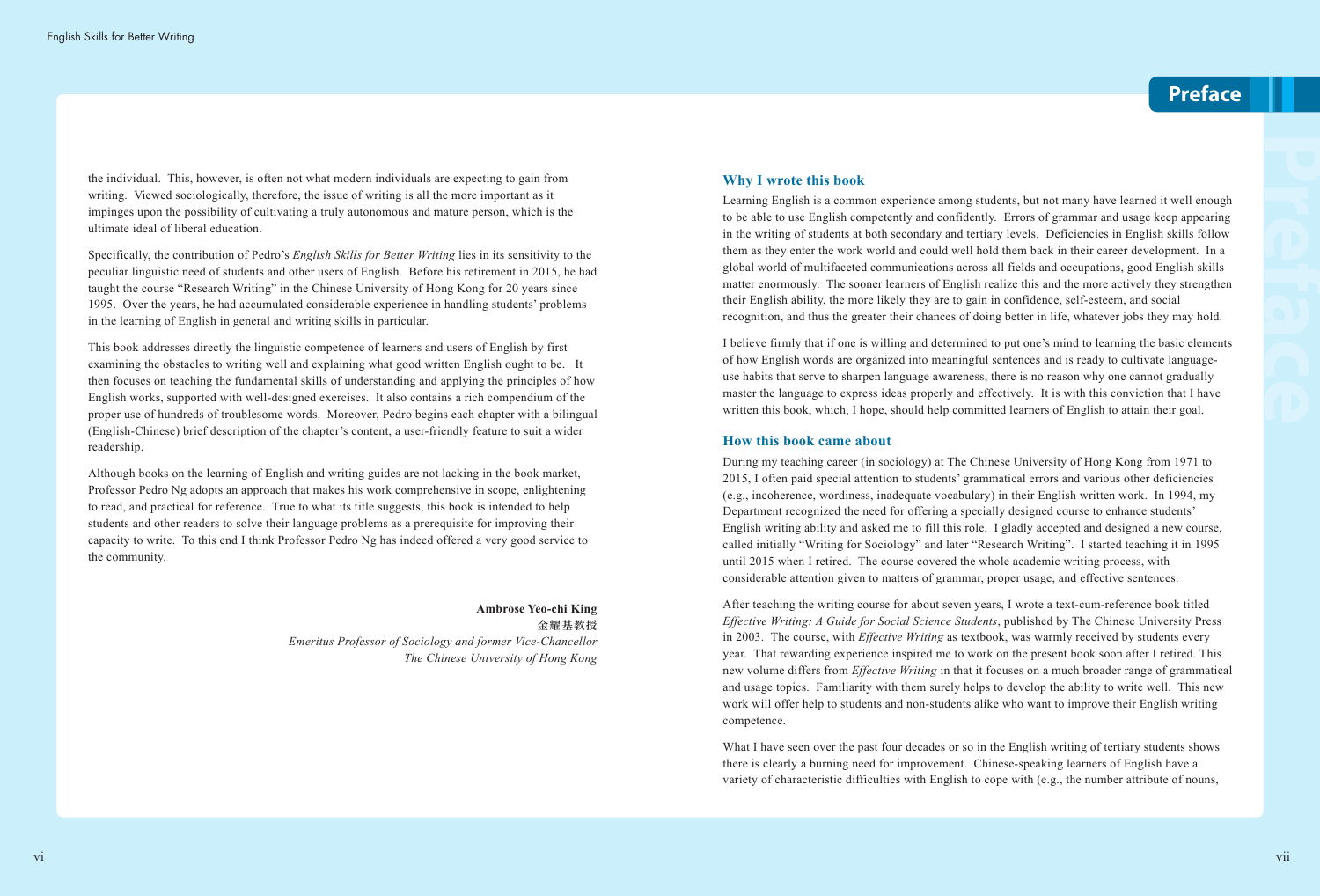the individual. This, however, is often not what modern individuals are expecting to gain from writing. Viewed sociologically, therefore, the issue of writing is all the more important as it impinges upon the possibility of cultivating a truly autonomous and mature person, which is the ultimate ideal of liberal education.

Specifically, the contribution of Pedro's *English Skills for Better Writing* lies in its sensitivity to the peculiar linguistic need of students and other users of English. Before his retirement in 2015, he had taught the course "Research Writing" in the Chinese University of Hong Kong for 20 years since 1995. Over the years, he had accumulated considerable experience in handling students' problems in the learning of English in general and writing skills in particular.

This book addresses directly the linguistic competence of learners and users of English by first examining the obstacles to writing well and explaining what good written English ought to be. It then focuses on teaching the fundamental skills of understanding and applying the principles of how English works, supported with well-designed exercises. It also contains a rich compendium of the proper use of hundreds of troublesome words. Moreover, Pedro begins each chapter with a bilingual (English-Chinese) brief description of the chapter's content, a user-friendly feature to suit a wider readership.

Although books on the learning of English and writing guides are not lacking in the book market, Professor Pedro Ng adopts an approach that makes his work comprehensive in scope, enlightening to read, and practical for reference. True to what its title suggests, this book is intended to help students and other readers to solve their language problems as a prerequisite for improving their capacity to write. To this end I think Professor Pedro Ng has indeed offered a very good service to the community.

> **Ambrose Yeo-chi King 金耀基教授** *Emeritus Professor of Sociology and former Vice-Chancellor The Chinese University of Hong Kong*

#### **Why I wrote this book**

Learning English is a common experience among students, but not many have learned it well enough to be able to use English competently and confidently. Errors of grammar and usage keep appearing in the writing of students at both secondary and tertiary levels. Deficiencies in English skills follow them as they enter the work world and could well hold them back in their career development. In a global world of multifaceted communications across all fields and occupations, good English skills matter enormously. The sooner learners of English realize this and the more actively they strengthen their English ability, the more likely they are to gain in confidence, self-esteem, and social recognition, and thus the greater their chances of doing better in life, whatever jobs they may hold.

I believe firmly that if one is willing and determined to put one's mind to learning the basic elements of how English words are organized into meaningful sentences and is ready to cultivate languageuse habits that serve to sharpen language awareness, there is no reason why one cannot gradually master the language to express ideas properly and effectively. It is with this conviction that I have written this book, which, I hope, should help committed learners of English to attain their goal.

#### **How this book came about**

During my teaching career (in sociology) at The Chinese University of Hong Kong from 1971 to 2015, I often paid special attention to students' grammatical errors and various other deficiencies (e.g., incoherence, wordiness, inadequate vocabulary) in their English written work. In 1994, my Department recognized the need for offering a specially designed course to enhance students' English writing ability and asked me to fill this role. I gladly accepted and designed a new course, called initially "Writing for Sociology" and later "Research Writing". I started teaching it in 1995 until 2015 when I retired. The course covered the whole academic writing process, with considerable attention given to matters of grammar, proper usage, and effective sentences.

After teaching the writing course for about seven years, I wrote a text-cum-reference book titled *Effective Writing: A Guide for Social Science Students*, published by The Chinese University Press in 2003. The course, with *Effective Writing* as textbook, was warmly received by students every year. That rewarding experience inspired me to work on the present book soon after I retired. This new volume differs from *Effective Writing* in that it focuses on a much broader range of grammatical and usage topics. Familiarity with them surely helps to develop the ability to write well. This new work will offer help to students and non-students alike who want to improve their English writing competence.

What I have seen over the past four decades or so in the English writing of tertiary students shows there is clearly a burning need for improvement. Chinese-speaking learners of English have a variety of characteristic difficulties with English to cope with (e.g., the number attribute of nouns,

## **Preface**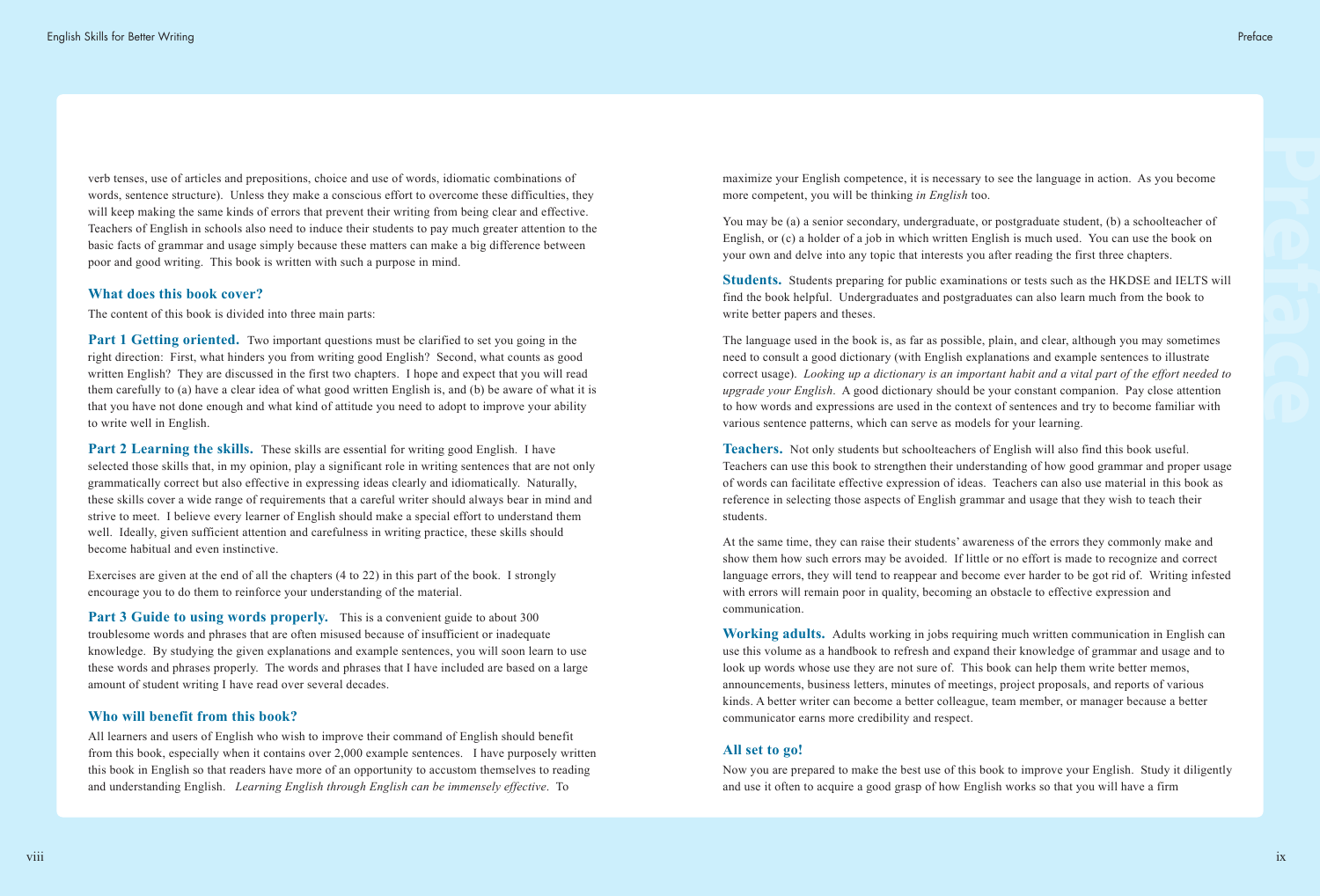verb tenses, use of articles and prepositions, choice and use of words, idiomatic combinations of words, sentence structure). Unless they make a conscious effort to overcome these difficulties, they will keep making the same kinds of errors that prevent their writing from being clear and effective. Teachers of English in schools also need to induce their students to pay much greater attention to the basic facts of grammar and usage simply because these matters can make a big difference between poor and good writing. This book is written with such a purpose in mind.

**Part 1 Getting oriented.** Two important questions must be clarified to set you going in the right direction: First, what hinders you from writing good English? Second, what counts as good written English? They are discussed in the first two chapters. I hope and expect that you will read them carefully to (a) have a clear idea of what good written English is, and (b) be aware of what it is that you have not done enough and what kind of attitude you need to adopt to improve your ability to write well in English.

#### **What does this book cover?**

The content of this book is divided into three main parts:

**Part 2 Learning the skills.** These skills are essential for writing good English. I have selected those skills that, in my opinion, play a significant role in writing sentences that are not only grammatically correct but also effective in expressing ideas clearly and idiomatically. Naturally, these skills cover a wide range of requirements that a careful writer should always bear in mind and strive to meet. I believe every learner of English should make a special effort to understand them well. Ideally, given sufficient attention and carefulness in writing practice, these skills should become habitual and even instinctive.

**Part 3 Guide to using words properly.** This is a convenient guide to about 300 troublesome words and phrases that are often misused because of insufficient or inadequate knowledge. By studying the given explanations and example sentences, you will soon learn to use these words and phrases properly. The words and phrases that I have included are based on a large amount of student writing I have read over several decades.

Exercises are given at the end of all the chapters (4 to 22) in this part of the book. I strongly encourage you to do them to reinforce your understanding of the material.

#### **Who will benefit from this book?**

All learners and users of English who wish to improve their command of English should benefit from this book, especially when it contains over 2,000 example sentences. I have purposely written this book in English so that readers have more of an opportunity to accustom themselves to reading and understanding English. *Learning English through English can be immensely effective*. To

maximize your English competence, it is necessary to see the language in action. As you become more competent, you will be thinking *in English* too.

You may be (a) a senior secondary, undergraduate, or postgraduate student, (b) a schoolteacher of English, or (c) a holder of a job in which written English is much used. You can use the book on your own and delve into any topic that interests you after reading the first three chapters.

**Students.** Students preparing for public examinations or tests such as the HKDSE and IELTS will find the book helpful. Undergraduates and postgraduates can also learn much from the book to write better papers and theses.

The language used in the book is, as far as possible, plain, and clear, although you may sometimes need to consult a good dictionary (with English explanations and example sentences to illustrate correct usage). *Looking up a dictionary is an important habit and a vital part of the effort needed to upgrade your English*. A good dictionary should be your constant companion. Pay close attention to how words and expressions are used in the context of sentences and try to become familiar with various sentence patterns, which can serve as models for your learning.

**Teachers.** Not only students but schoolteachers of English will also find this book useful. Teachers can use this book to strengthen their understanding of how good grammar and proper usage of words can facilitate effective expression of ideas. Teachers can also use material in this book as reference in selecting those aspects of English grammar and usage that they wish to teach their students.

At the same time, they can raise their students' awareness of the errors they commonly make and show them how such errors may be avoided. If little or no effort is made to recognize and correct language errors, they will tend to reappear and become ever harder to be got rid of. Writing infested with errors will remain poor in quality, becoming an obstacle to effective expression and communication.

**Working adults.** Adults working in jobs requiring much written communication in English can use this volume as a handbook to refresh and expand their knowledge of grammar and usage and to look up words whose use they are not sure of. This book can help them write better memos, announcements, business letters, minutes of meetings, project proposals, and reports of various kinds. A better writer can become a better colleague, team member, or manager because a better communicator earns more credibility and respect.

#### **All set to go!**

Now you are prepared to make the best use of this book to improve your English. Study it diligently and use it often to acquire a good grasp of how English works so that you will have a firm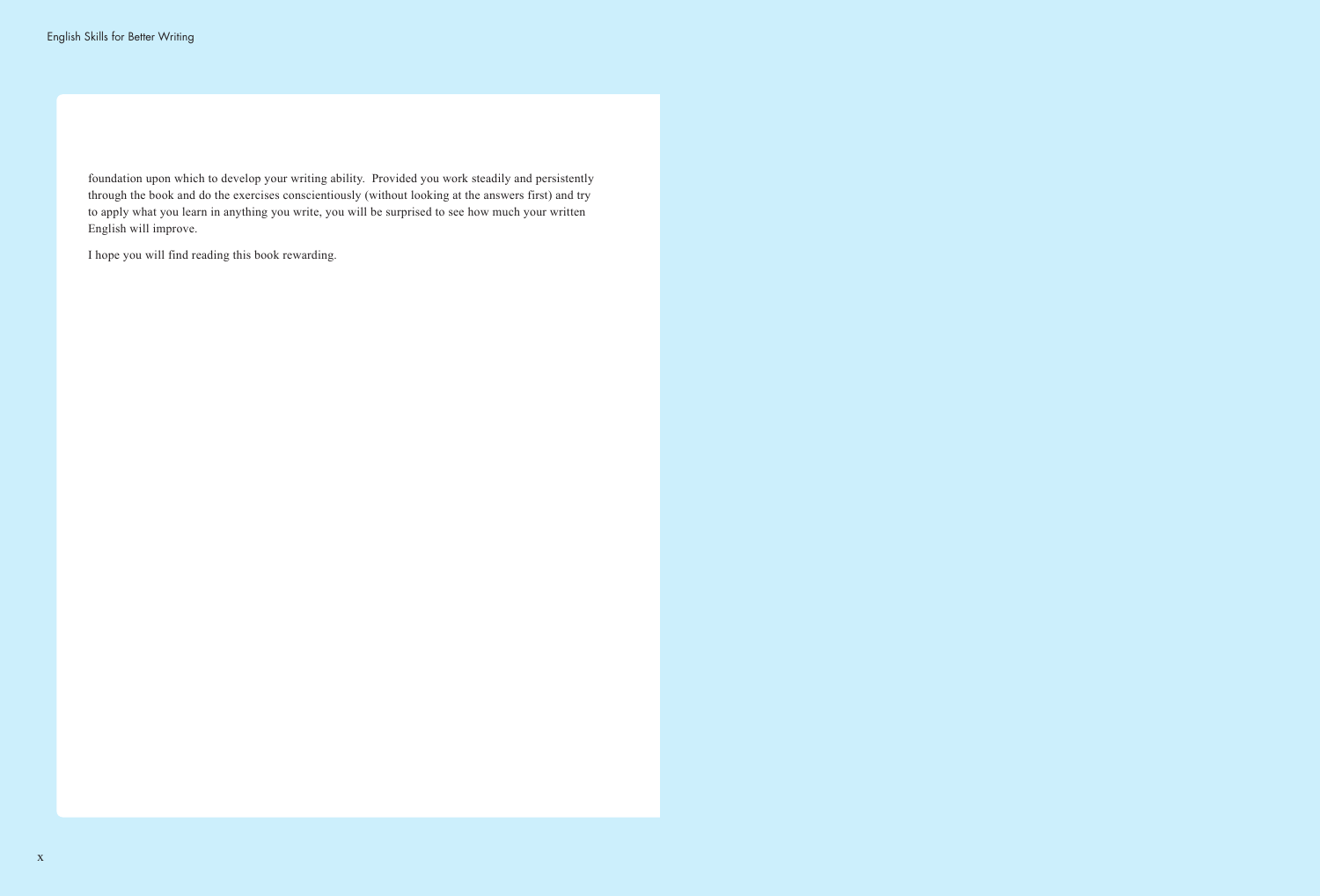foundation upon which to develop your writing ability. Provided you work steadily and persistently through the book and do the exercises conscientiously (without looking at the answers first) and try to apply what you learn in anything you write, you will be surprised to see how much your written English will improve.

I hope you will find reading this book rewarding.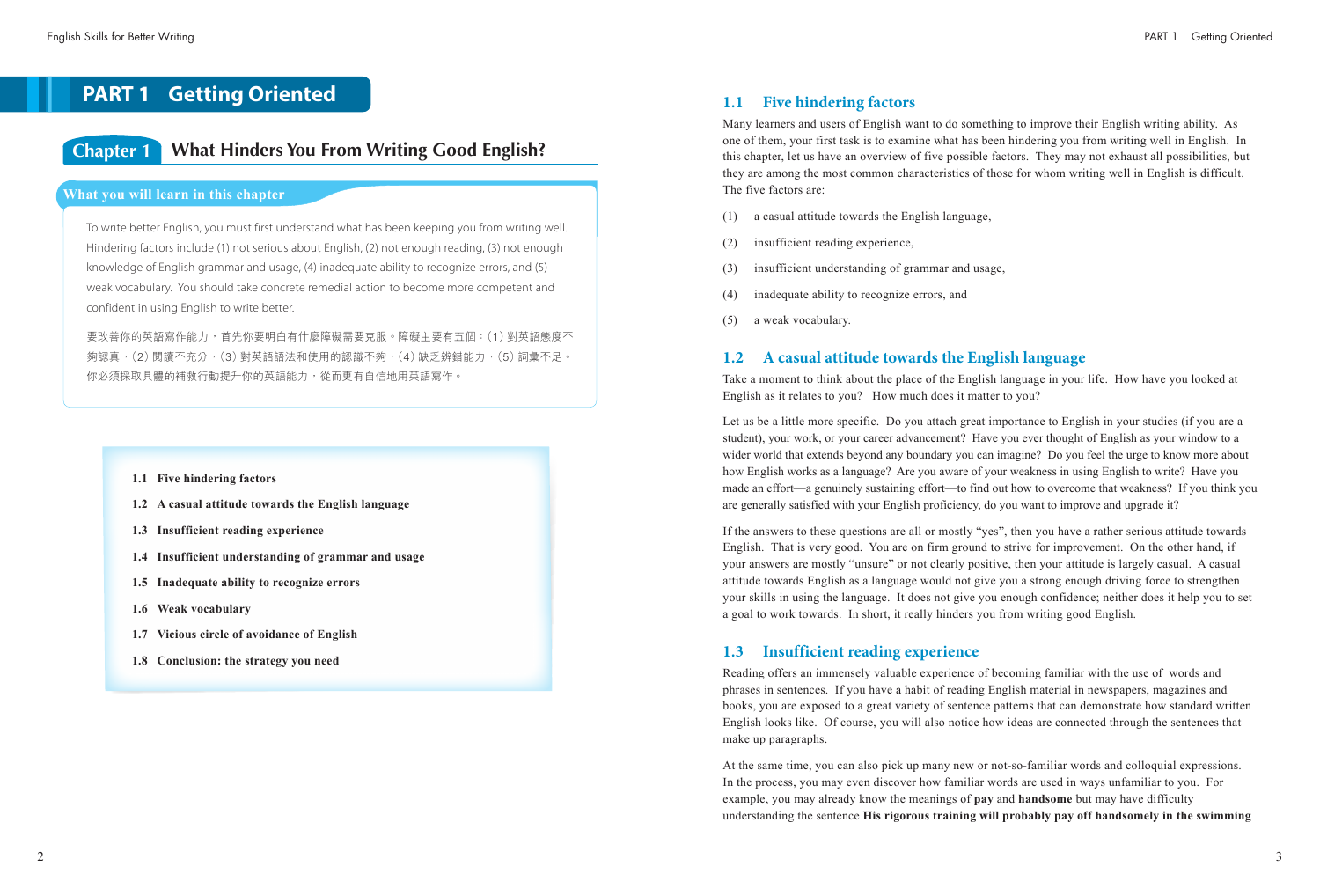### **1.1 Five hindering factors**

Many learners and users of English want to do something to improve their English writing ability. As one of them, your first task is to examine what has been hindering you from writing well in English. In this chapter, let us have an overview of five possible factors. They may not exhaust all possibilities, but they are among the most common characteristics of those for whom writing well in English is difficult. The five factors are:

- (1) a casual attitude towards the English language,
- (2) insufficient reading experience,
- (3) insufficient understanding of grammar and usage,
- (4) inadequate ability to recognize errors, and
- (5) a weak vocabulary.

### **1.2 A casual attitude towards the English language**

Take a moment to think about the place of the English language in your life. How have you looked at English as it relates to you? How much does it matter to you?

Let us be a little more specific. Do you attach great importance to English in your studies (if you are a student), your work, or your career advancement? Have you ever thought of English as your window to a wider world that extends beyond any boundary you can imagine? Do you feel the urge to know more about how English works as a language? Are you aware of your weakness in using English to write? Have you made an effort—a genuinely sustaining effort—to find out how to overcome that weakness? If you think you are generally satisfied with your English proficiency, do you want to improve and upgrade it?

If the answers to these questions are all or mostly "yes", then you have a rather serious attitude towards English. That is very good. You are on firm ground to strive for improvement. On the other hand, if your answers are mostly "unsure" or not clearly positive, then your attitude is largely casual. A casual attitude towards English as a language would not give you a strong enough driving force to strengthen your skills in using the language. It does not give you enough confidence; neither does it help you to set a goal to work towards. In short, it really hinders you from writing good English.

### **1.3 Insufficient reading experience**

Reading offers an immensely valuable experience of becoming familiar with the use of words and phrases in sentences. If you have a habit of reading English material in newspapers, magazines and books, you are exposed to a great variety of sentence patterns that can demonstrate how standard written English looks like. Of course, you will also notice how ideas are connected through the sentences that make up paragraphs.

At the same time, you can also pick up many new or not-so-familiar words and colloquial expressions. In the process, you may even discover how familiar words are used in ways unfamiliar to you. For example, you may already know the meanings of **pay** and **handsome** but may have difficulty understanding the sentence **His rigorous training will probably pay off handsomely in the swimming** 

## **PART 1 Getting Oriented**

## **Chapter 1 What Hinders You From Writing Good English?**

#### **What you will learn in this chapter**

To write better English, you must first understand what has been keeping you from writing well. Hindering factors include (1) not serious about English, (2) not enough reading, (3) not enough knowledge of English grammar and usage, (4) inadequate ability to recognize errors, and (5) weak vocabulary. You should take concrete remedial action to become more competent and confident in using English to write better.

要改善你的英語寫作能力,首先你要明白有什麼障礙需要克服。障礙主要有五個:(1)對英語態度不 夠認真,(2)閱讀不充分,(3)對英語語法和使用的認識不夠,(4)缺乏辨錯能力,(5)詞彙不足。 你必須採取具體的補救行動提升你的英語能力,從而更有自信地用英語寫作。

- **1.1 Five hindering factors**
- **1.2 A casual attitude towards the English language**
- **1.3 Insufficient reading experience**
- **1.4 Insufficient understanding of grammar and usage**
- **1.5 Inadequate ability to recognize errors**
- **1.6 Weak vocabulary**
- **1.7 Vicious circle of avoidance of English**
- **1.8 Conclusion: the strategy you need**